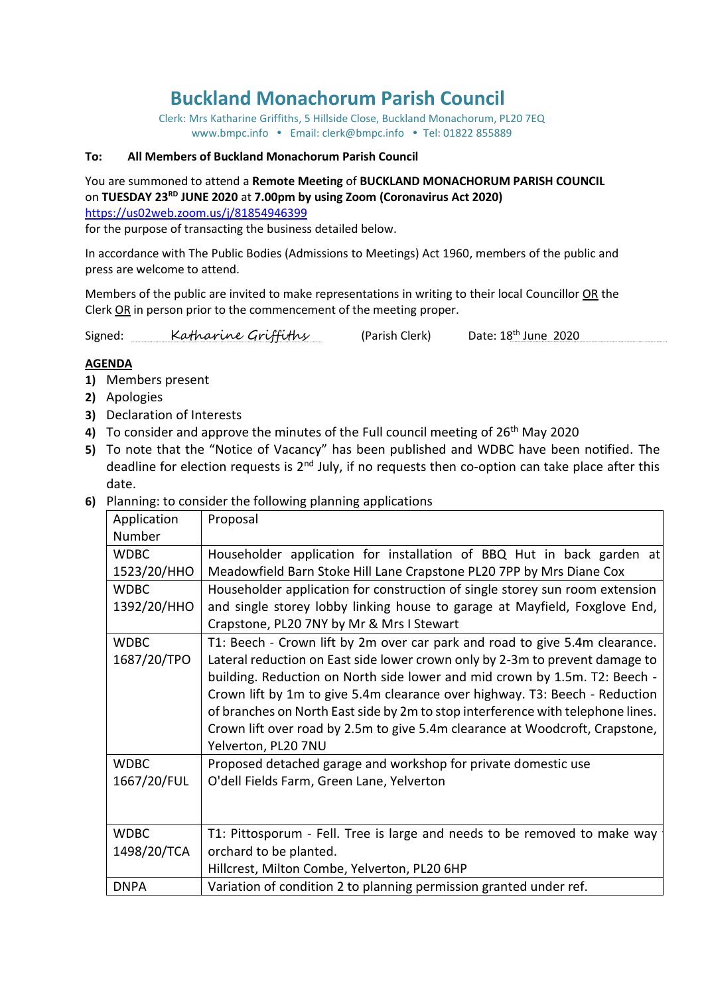# **Buckland Monachorum Parish Council**

Clerk: Mrs Katharine Griffiths, 5 Hillside Close, Buckland Monachorum, PL20 7EQ [www.bmpc.info](http://www.bmpc.info/) • Email: clerk@bmpc.info • Tel: 01822 855889

#### **To: All Members of Buckland Monachorum Parish Council**

You are summoned to attend a **Remote Meeting** of **BUCKLAND MONACHORUM PARISH COUNCIL** on **TUESDAY 23RD JUNE 2020** at **7.00pm by using Zoom (Coronavirus Act 2020)**  <https://us02web.zoom.us/j/81854946399>

for the purpose of transacting the business detailed below.

In accordance with The Public Bodies (Admissions to Meetings) Act 1960, members of the public and press are welcome to attend.

Members of the public are invited to make representations in writing to their local Councillor OR the Clerk OR in person prior to the commencement of the meeting proper.

Signed: Katharine Griffiths (Parish Clerk) Date:  $18^{th}$  June 2020

#### **AGENDA**

- **1)** Members present
- **2)** Apologies
- **3)** Declaration of Interests
- 4) To consider and approve the minutes of the Full council meeting of 26<sup>th</sup> May 2020
- **5)** To note that the "Notice of Vacancy" has been published and WDBC have been notified. The deadline for election requests is 2<sup>nd</sup> July, if no requests then co-option can take place after this date.
- **6)** Planning: to consider the following planning applications

| Application | Proposal                                                                        |
|-------------|---------------------------------------------------------------------------------|
| Number      |                                                                                 |
| <b>WDBC</b> | Householder application for installation of BBQ Hut in back garden at           |
| 1523/20/HHO | Meadowfield Barn Stoke Hill Lane Crapstone PL20 7PP by Mrs Diane Cox            |
| <b>WDBC</b> | Householder application for construction of single storey sun room extension    |
| 1392/20/HHO | and single storey lobby linking house to garage at Mayfield, Foxglove End,      |
|             | Crapstone, PL20 7NY by Mr & Mrs I Stewart                                       |
| <b>WDBC</b> | T1: Beech - Crown lift by 2m over car park and road to give 5.4m clearance.     |
| 1687/20/TPO | Lateral reduction on East side lower crown only by 2-3m to prevent damage to    |
|             | building. Reduction on North side lower and mid crown by 1.5m. T2: Beech -      |
|             | Crown lift by 1m to give 5.4m clearance over highway. T3: Beech - Reduction     |
|             | of branches on North East side by 2m to stop interference with telephone lines. |
|             | Crown lift over road by 2.5m to give 5.4m clearance at Woodcroft, Crapstone,    |
|             | Yelverton, PL20 7NU                                                             |
| <b>WDBC</b> | Proposed detached garage and workshop for private domestic use                  |
| 1667/20/FUL | O'dell Fields Farm, Green Lane, Yelverton                                       |
|             |                                                                                 |
|             |                                                                                 |
| <b>WDBC</b> | T1: Pittosporum - Fell. Tree is large and needs to be removed to make way       |
| 1498/20/TCA | orchard to be planted.                                                          |
|             | Hillcrest, Milton Combe, Yelverton, PL20 6HP                                    |
| <b>DNPA</b> | Variation of condition 2 to planning permission granted under ref.              |